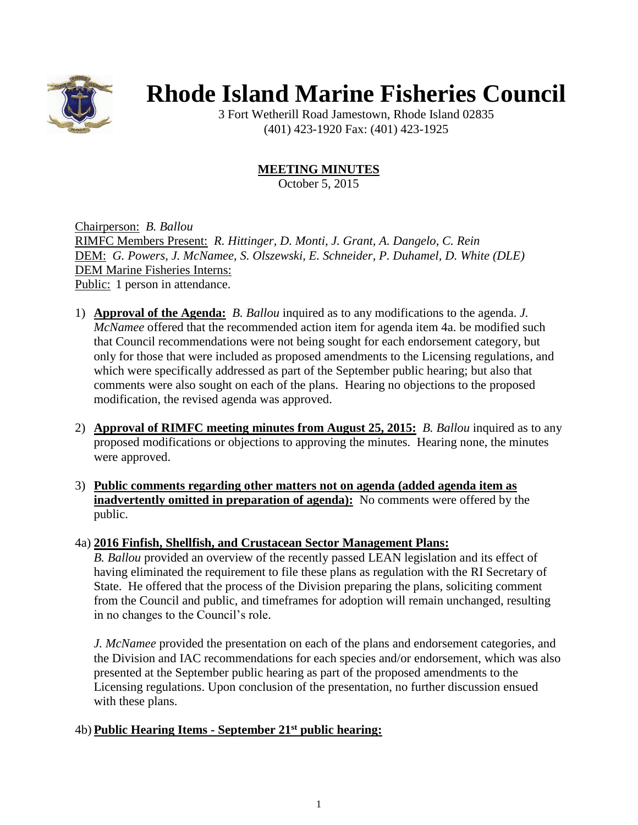

# **Rhode Island Marine Fisheries Council**

3 Fort Wetherill Road Jamestown, Rhode Island 02835 (401) 423-1920 Fax: (401) 423-1925

**MEETING MINUTES**

October 5, 2015

Chairperson: *B. Ballou* RIMFC Members Present: *R. Hittinger, D. Monti, J. Grant, A. Dangelo, C. Rein* DEM: *G. Powers, J. McNamee, S. Olszewski, E. Schneider, P. Duhamel, D. White (DLE)* DEM Marine Fisheries Interns: Public: 1 person in attendance.

- 1) **Approval of the Agenda:** *B. Ballou* inquired as to any modifications to the agenda. *J. McNamee* offered that the recommended action item for agenda item 4a. be modified such that Council recommendations were not being sought for each endorsement category, but only for those that were included as proposed amendments to the Licensing regulations, and which were specifically addressed as part of the September public hearing; but also that comments were also sought on each of the plans. Hearing no objections to the proposed modification, the revised agenda was approved.
- 2) **Approval of RIMFC meeting minutes from August 25, 2015:** *B. Ballou* inquired as to any proposed modifications or objections to approving the minutes. Hearing none, the minutes were approved.
- 3) **Public comments regarding other matters not on agenda (added agenda item as inadvertently omitted in preparation of agenda):** No comments were offered by the public.
- 4a) **2016 Finfish, Shellfish, and Crustacean Sector Management Plans:**

*B. Ballou* provided an overview of the recently passed LEAN legislation and its effect of having eliminated the requirement to file these plans as regulation with the RI Secretary of State. He offered that the process of the Division preparing the plans, soliciting comment from the Council and public, and timeframes for adoption will remain unchanged, resulting in no changes to the Council's role.

*J. McNamee* provided the presentation on each of the plans and endorsement categories, and the Division and IAC recommendations for each species and/or endorsement, which was also presented at the September public hearing as part of the proposed amendments to the Licensing regulations. Upon conclusion of the presentation, no further discussion ensued with these plans.

# 4b) **Public Hearing Items - September 21st public hearing:**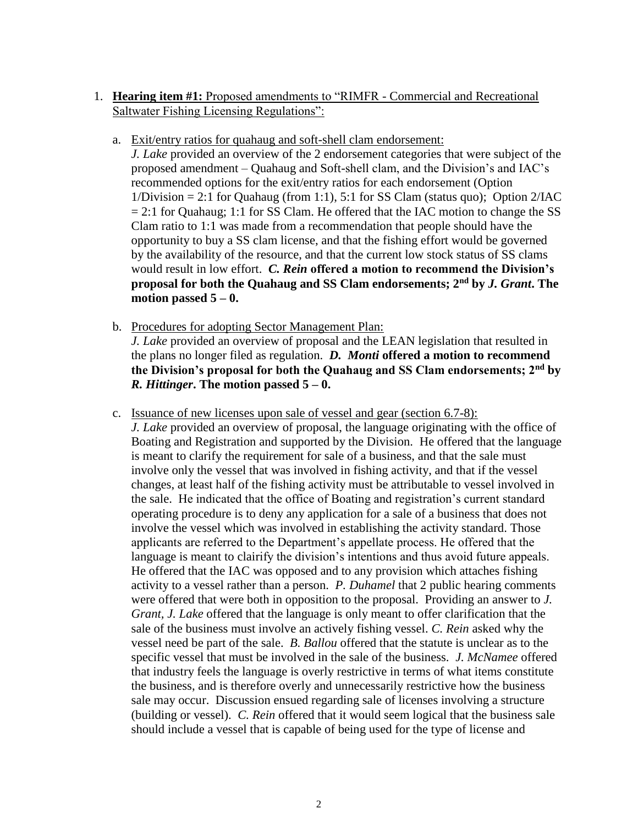- 1. **Hearing item #1:** Proposed amendments to "RIMFR Commercial and Recreational Saltwater Fishing Licensing Regulations":
	- a. Exit/entry ratios for quahaug and soft-shell clam endorsement:
		- *J. Lake* provided an overview of the 2 endorsement categories that were subject of the proposed amendment – Quahaug and Soft-shell clam, and the Division's and IAC's recommended options for the exit/entry ratios for each endorsement (Option  $1/Division = 2:1$  for Quahaug (from 1:1), 5:1 for SS Clam (status quo); Option  $2/IAC$  $= 2:1$  for Quahaug; 1:1 for SS Clam. He offered that the IAC motion to change the SS Clam ratio to 1:1 was made from a recommendation that people should have the opportunity to buy a SS clam license, and that the fishing effort would be governed by the availability of the resource, and that the current low stock status of SS clams would result in low effort. *C. Rein* **offered a motion to recommend the Division's proposal for both the Quahaug and SS Clam endorsements; 2nd by** *J. Grant***. The motion passed 5 – 0.**
	- b. Procedures for adopting Sector Management Plan: *J. Lake* provided an overview of proposal and the LEAN legislation that resulted in the plans no longer filed as regulation. *D. Monti* **offered a motion to recommend the Division's proposal for both the Quahaug and SS Clam endorsements; 2nd by**  *R. Hittinger***. The motion passed 5 – 0.**
	- c. Issuance of new licenses upon sale of vessel and gear (section 6.7-8): *J. Lake* provided an overview of proposal, the language originating with the office of Boating and Registration and supported by the Division. He offered that the language is meant to clarify the requirement for sale of a business, and that the sale must involve only the vessel that was involved in fishing activity, and that if the vessel changes, at least half of the fishing activity must be attributable to vessel involved in the sale. He indicated that the office of Boating and registration's current standard operating procedure is to deny any application for a sale of a business that does not involve the vessel which was involved in establishing the activity standard. Those applicants are referred to the Department's appellate process. He offered that the language is meant to clairify the division's intentions and thus avoid future appeals. He offered that the IAC was opposed and to any provision which attaches fishing activity to a vessel rather than a person. *P. Duhamel* that 2 public hearing comments were offered that were both in opposition to the proposal. Providing an answer to *J. Grant, J. Lake* offered that the language is only meant to offer clarification that the sale of the business must involve an actively fishing vessel. *C. Rein* asked why the vessel need be part of the sale. *B. Ballou* offered that the statute is unclear as to the specific vessel that must be involved in the sale of the business. *J. McNamee* offered that industry feels the language is overly restrictive in terms of what items constitute the business, and is therefore overly and unnecessarily restrictive how the business sale may occur. Discussion ensued regarding sale of licenses involving a structure (building or vessel). *C. Rein* offered that it would seem logical that the business sale should include a vessel that is capable of being used for the type of license and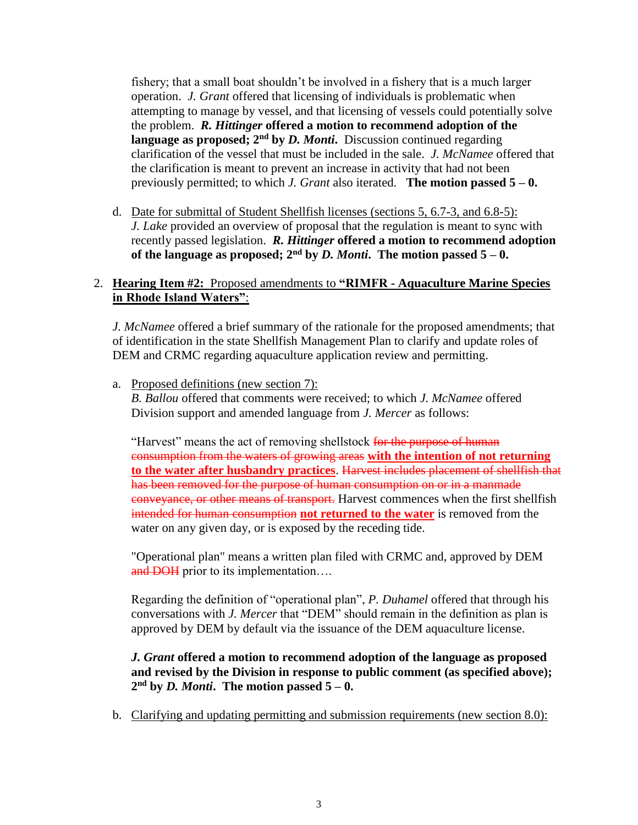fishery; that a small boat shouldn't be involved in a fishery that is a much larger operation. *J. Grant* offered that licensing of individuals is problematic when attempting to manage by vessel, and that licensing of vessels could potentially solve the problem. *R. Hittinger* **offered a motion to recommend adoption of the language as proposed; 2nd by** *D. Monti***.** Discussion continued regarding clarification of the vessel that must be included in the sale. *J. McNamee* offered that the clarification is meant to prevent an increase in activity that had not been previously permitted; to which *J. Grant* also iterated. **The motion passed 5 – 0.**

d. Date for submittal of Student Shellfish licenses (sections 5, 6.7-3, and 6.8-5): *J. Lake* provided an overview of proposal that the regulation is meant to sync with recently passed legislation. *R. Hittinger* **offered a motion to recommend adoption of the language as proposed;**  $2^{nd}$  by *D. Monti*. The motion passed  $5 - 0$ .

# 2. **Hearing Item #2:** Proposed amendments to **"RIMFR - Aquaculture Marine Species in Rhode Island Waters"**:

*J. McNamee* offered a brief summary of the rationale for the proposed amendments; that of identification in the state Shellfish Management Plan to clarify and update roles of DEM and CRMC regarding aquaculture application review and permitting.

a. Proposed definitions (new section 7): *B. Ballou* offered that comments were received; to which *J. McNamee* offered Division support and amended language from *J. Mercer* as follows:

"Harvest" means the act of removing shellstock for the purpose of human consumption from the waters of growing areas **with the intention of not returning to the water after husbandry practices**. Harvest includes placement of shellfish that has been removed for the purpose of human consumption on or in a manmade conveyance, or other means of transport. Harvest commences when the first shellfish intended for human consumption **not returned to the water** is removed from the water on any given day, or is exposed by the receding tide.

"Operational plan" means a written plan filed with CRMC and, approved by DEM and DOH prior to its implementation....

Regarding the definition of "operational plan", *P. Duhamel* offered that through his conversations with *J. Mercer* that "DEM" should remain in the definition as plan is approved by DEM by default via the issuance of the DEM aquaculture license.

## *J. Grant* **offered a motion to recommend adoption of the language as proposed and revised by the Division in response to public comment (as specified above);**   $2<sup>nd</sup>$  by *D. Monti*. The motion passed  $5-0$ .

b. Clarifying and updating permitting and submission requirements (new section 8.0):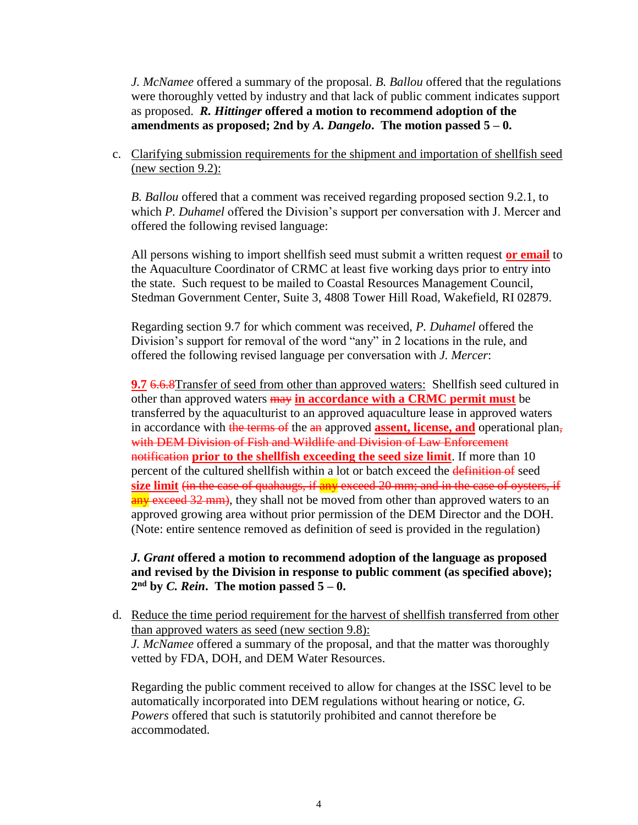*J. McNamee* offered a summary of the proposal. *B. Ballou* offered that the regulations were thoroughly vetted by industry and that lack of public comment indicates support as proposed. *R. Hittinger* **offered a motion to recommend adoption of the amendments as proposed; 2nd by** *A. Dangelo***. The motion passed 5 – 0.**

c. Clarifying submission requirements for the shipment and importation of shellfish seed (new section 9.2):

*B. Ballou* offered that a comment was received regarding proposed section 9.2.1, to which *P. Duhamel* offered the Division's support per conversation with J. Mercer and offered the following revised language:

All persons wishing to import shellfish seed must submit a written request **or email** to the Aquaculture Coordinator of CRMC at least five working days prior to entry into the state. Such request to be mailed to Coastal Resources Management Council, Stedman Government Center, Suite 3, 4808 Tower Hill Road, Wakefield, RI 02879.

Regarding section 9.7 for which comment was received, *P. Duhamel* offered the Division's support for removal of the word "any" in 2 locations in the rule, and offered the following revised language per conversation with *J. Mercer*:

**9.7** 6.6.8Transfer of seed from other than approved waters: Shellfish seed cultured in other than approved waters may **in accordance with a CRMC permit must** be transferred by the aquaculturist to an approved aquaculture lease in approved waters in accordance with the terms of the an approved **assent, license, and** operational plan, with DEM Division of Fish and Wildlife and Division of Law Enforcement notification **prior to the shellfish exceeding the seed size limit**. If more than 10 percent of the cultured shellfish within a lot or batch exceed the definition of seed **size limit** (in the case of quahaugs, if any exceed 20 mm; and in the case of oysters, if any exceed 32 mm), they shall not be moved from other than approved waters to an approved growing area without prior permission of the DEM Director and the DOH. (Note: entire sentence removed as definition of seed is provided in the regulation)

## *J. Grant* **offered a motion to recommend adoption of the language as proposed and revised by the Division in response to public comment (as specified above);**   $2<sup>nd</sup>$  by *C. Rein*. The motion passed  $5-0$ .

d. Reduce the time period requirement for the harvest of shellfish transferred from other than approved waters as seed (new section 9.8): *J. McNamee* offered a summary of the proposal, and that the matter was thoroughly vetted by FDA, DOH, and DEM Water Resources.

Regarding the public comment received to allow for changes at the ISSC level to be automatically incorporated into DEM regulations without hearing or notice, *G. Powers* offered that such is statutorily prohibited and cannot therefore be accommodated.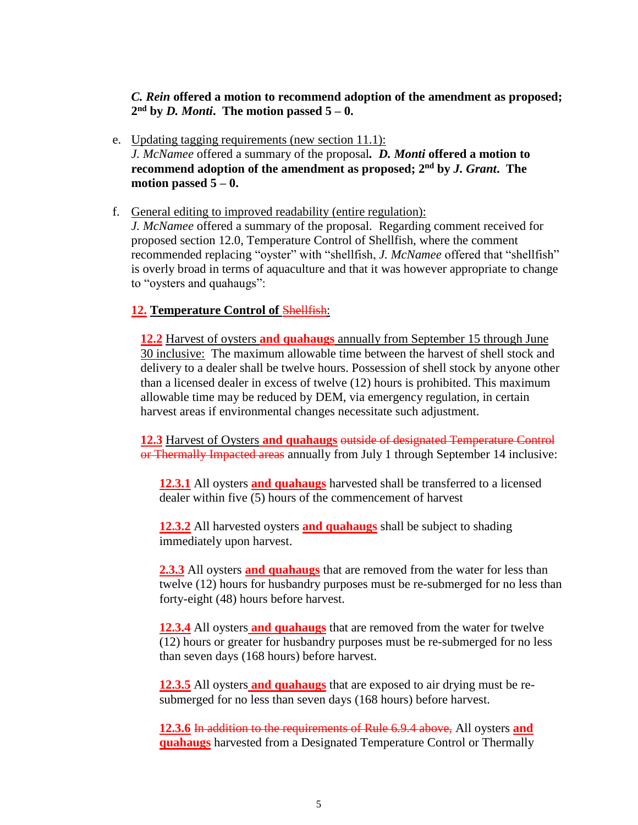*C. Rein* **offered a motion to recommend adoption of the amendment as proposed;**  $2<sup>nd</sup>$  by *D. Monti*. The motion passed  $5-0$ .

- e. Updating tagging requirements (new section 11.1): *J. McNamee* offered a summary of the proposal*. D. Monti* **offered a motion to recommend adoption of the amendment as proposed; 2 nd by** *J. Grant***. The**  motion passed  $5 - 0$ .
- f. General editing to improved readability (entire regulation):

*J. McNamee* offered a summary of the proposal. Regarding comment received for proposed section 12.0, Temperature Control of Shellfish, where the comment recommended replacing "oyster" with "shellfish, *J. McNamee* offered that "shellfish" is overly broad in terms of aquaculture and that it was however appropriate to change to "oysters and quahaugs":

#### **12. Temperature Control of** Shellfish:

**12.2** Harvest of oysters **and quahaugs** annually from September 15 through June 30 inclusive: The maximum allowable time between the harvest of shell stock and delivery to a dealer shall be twelve hours. Possession of shell stock by anyone other than a licensed dealer in excess of twelve (12) hours is prohibited. This maximum allowable time may be reduced by DEM, via emergency regulation, in certain harvest areas if environmental changes necessitate such adjustment.

**12.3** Harvest of Oysters **and quahaugs** outside of designated Temperature Control or Thermally Impacted areas annually from July 1 through September 14 inclusive:

**12.3.1** All oysters **and quahaugs** harvested shall be transferred to a licensed dealer within five (5) hours of the commencement of harvest

**12.3.2** All harvested oysters **and quahaugs** shall be subject to shading immediately upon harvest.

**2.3.3** All oysters **and quahaugs** that are removed from the water for less than twelve (12) hours for husbandry purposes must be re-submerged for no less than forty-eight (48) hours before harvest.

**12.3.4** All oysters **and quahaugs** that are removed from the water for twelve (12) hours or greater for husbandry purposes must be re-submerged for no less than seven days (168 hours) before harvest.

**12.3.5** All oysters **and quahaugs** that are exposed to air drying must be resubmerged for no less than seven days (168 hours) before harvest.

**12.3.6** In addition to the requirements of Rule 6.9.4 above, All oysters **and quahaugs** harvested from a Designated Temperature Control or Thermally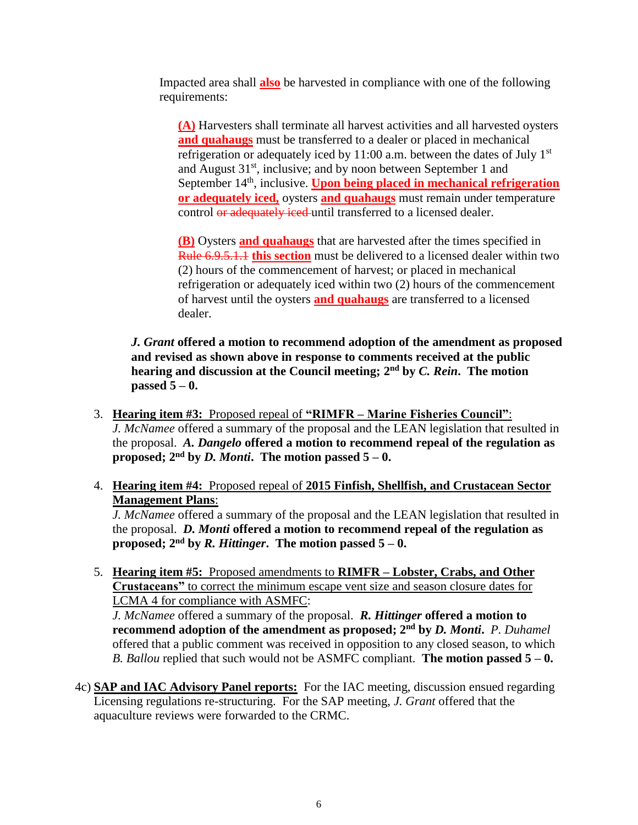Impacted area shall **also** be harvested in compliance with one of the following requirements:

**(A)** Harvesters shall terminate all harvest activities and all harvested oysters **and quahaugs** must be transferred to a dealer or placed in mechanical refrigeration or adequately iced by 11:00 a.m. between the dates of July  $1<sup>st</sup>$ and August  $31<sup>st</sup>$ , inclusive; and by noon between September 1 and September 14<sup>th</sup>, inclusive. **Upon being placed in mechanical refrigeration or adequately iced,** oysters **and quahaugs** must remain under temperature control or adequately iced until transferred to a licensed dealer.

**(B)** Oysters **and quahaugs** that are harvested after the times specified in Rule 6.9.5.1.1 **this section** must be delivered to a licensed dealer within two (2) hours of the commencement of harvest; or placed in mechanical refrigeration or adequately iced within two (2) hours of the commencement of harvest until the oysters **and quahaugs** are transferred to a licensed dealer.

*J. Grant* **offered a motion to recommend adoption of the amendment as proposed and revised as shown above in response to comments received at the public hearing and discussion at the Council meeting; 2 nd by** *C. Rein***. The motion passed 5 – 0.**

- 3. **Hearing item #3:** Proposed repeal of **"RIMFR – Marine Fisheries Council"**: *J. McNamee* offered a summary of the proposal and the LEAN legislation that resulted in the proposal. *A. Dangelo* **offered a motion to recommend repeal of the regulation as proposed;**  $2<sup>nd</sup>$  by *D. Monti*. The motion passed  $5-0$ .
- 4. **Hearing item #4:** Proposed repeal of **2015 Finfish, Shellfish, and Crustacean Sector Management Plans**:

*J. McNamee* offered a summary of the proposal and the LEAN legislation that resulted in the proposal. *D. Monti* **offered a motion to recommend repeal of the regulation as proposed;**  $2^{nd}$  by *R. Hittinger*. The motion passed  $5 - 0$ .

5. **Hearing item #5:** Proposed amendments to **RIMFR – Lobster, Crabs, and Other Crustaceans"** to correct the minimum escape vent size and season closure dates for LCMA 4 for compliance with ASMFC:

*J. McNamee* offered a summary of the proposal. *R. Hittinger* **offered a motion to recommend adoption of the amendment as proposed; 2 nd by** *D. Monti***.** *P. Duhamel* offered that a public comment was received in opposition to any closed season, to which *B. Ballou* replied that such would not be ASMFC compliant. **The motion passed 5 – 0.**

4c) **SAP and IAC Advisory Panel reports:** For the IAC meeting, discussion ensued regarding Licensing regulations re-structuring. For the SAP meeting, *J. Grant* offered that the aquaculture reviews were forwarded to the CRMC.